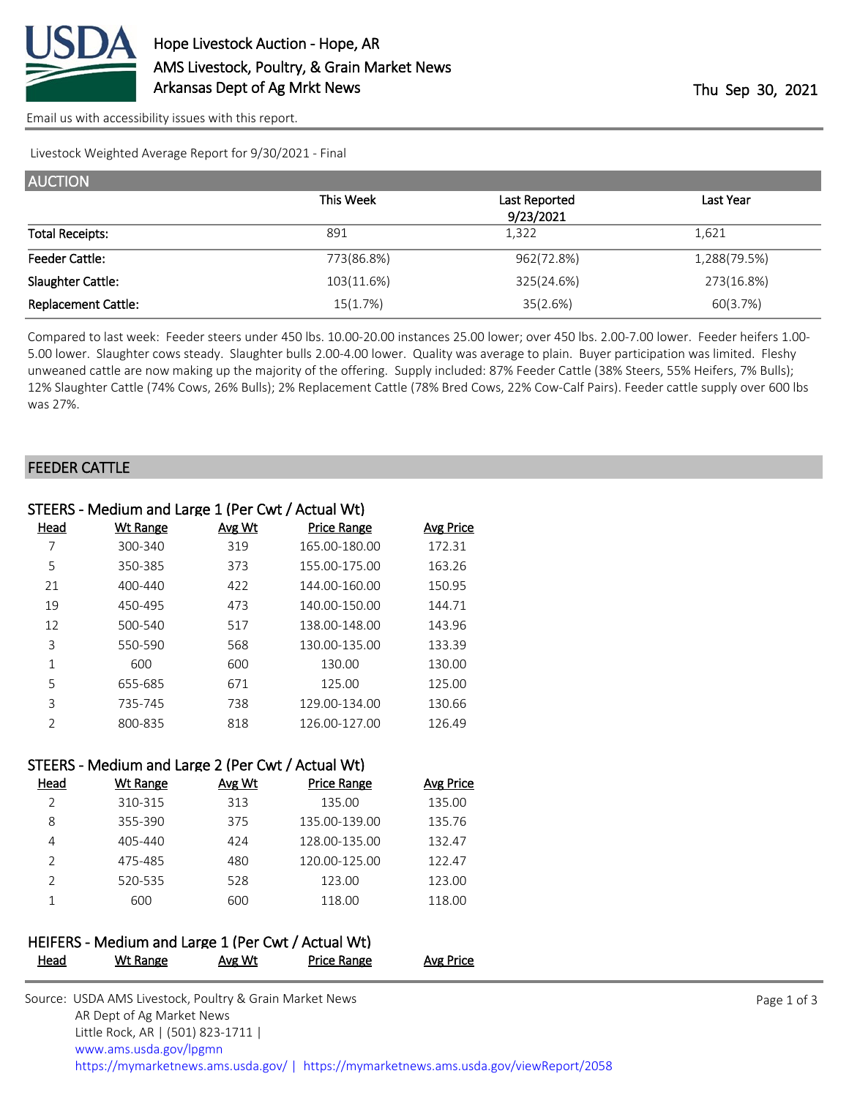

[Email us with accessibility issues with this report.](mailto:mars@ams.usda.gov?subject=508%20issue)

Livestock Weighted Average Report for 9/30/2021 - Final

| <b>AUCTION</b>             |            |               |              |
|----------------------------|------------|---------------|--------------|
|                            | This Week  | Last Reported | Last Year    |
|                            |            | 9/23/2021     |              |
| <b>Total Receipts:</b>     | 891        | 1,322         | 1,621        |
| <b>Feeder Cattle:</b>      | 773(86.8%) | 962(72.8%)    | 1,288(79.5%) |
| Slaughter Cattle:          | 103(11.6%) | 325(24.6%)    | 273(16.8%)   |
| <b>Replacement Cattle:</b> | 15(1.7%)   | 35(2.6%)      | 60(3.7%)     |

Compared to last week: Feeder steers under 450 lbs. 10.00-20.00 instances 25.00 lower; over 450 lbs. 2.00-7.00 lower. Feeder heifers 1.00- 5.00 lower. Slaughter cows steady. Slaughter bulls 2.00-4.00 lower. Quality was average to plain. Buyer participation was limited. Fleshy unweaned cattle are now making up the majority of the offering. Supply included: 87% Feeder Cattle (38% Steers, 55% Heifers, 7% Bulls); 12% Slaughter Cattle (74% Cows, 26% Bulls); 2% Replacement Cattle (78% Bred Cows, 22% Cow-Calf Pairs). Feeder cattle supply over 600 lbs was 27%.

#### FEEDER CATTLE

| STEERS - Medium and Large 1 (Per Cwt / Actual Wt) |                 |               |                    |           |  |  |
|---------------------------------------------------|-----------------|---------------|--------------------|-----------|--|--|
| Head                                              | <b>Wt Range</b> | <b>Avg Wt</b> | <b>Price Range</b> | Avg Price |  |  |
| 7                                                 | 300-340         | 319           | 165.00-180.00      | 172.31    |  |  |
| 5                                                 | 350-385         | 373           | 155.00-175.00      | 163.26    |  |  |
| 21                                                | $400 - 440$     | 422           | 144.00-160.00      | 150.95    |  |  |
| 19                                                | 450-495         | 473           | 140.00-150.00      | 144.71    |  |  |
| 12                                                | 500-540         | 517           | 138.00-148.00      | 143.96    |  |  |
| 3                                                 | 550-590         | 568           | 130.00-135.00      | 133.39    |  |  |
| 1                                                 | 600             | 600           | 130.00             | 130.00    |  |  |
| 5                                                 | 655-685         | 671           | 125.00             | 125.00    |  |  |
| 3                                                 | 735-745         | 738           | 129.00-134.00      | 130.66    |  |  |
| $\mathcal{P}$                                     | 800-835         | 818           | 126.00-127.00      | 126.49    |  |  |

### STEERS - Medium and Large 2 (Per Cwt / Actual Wt)

| Head | Wt Range | Avg Wt | <b>Price Range</b> | Avg Price |
|------|----------|--------|--------------------|-----------|
| っ    | 310-315  | 313    | 135.00             | 135.00    |
| 8    | 355-390  | 375    | 135.00-139.00      | 135.76    |
| 4    | 405-440  | 424    | 128.00-135.00      | 132.47    |
| っ    | 475-485  | 480    | 120.00-125.00      | 122.47    |
| っ    | 520-535  | 528    | 123.00             | 123.00    |
|      | 600      | 600    | 118.00             | 118.00    |

## HEIFERS - Medium and Large 1 (Per Cwt / Actual Wt) Head Wt Range Avg Wt Price Range Avg Price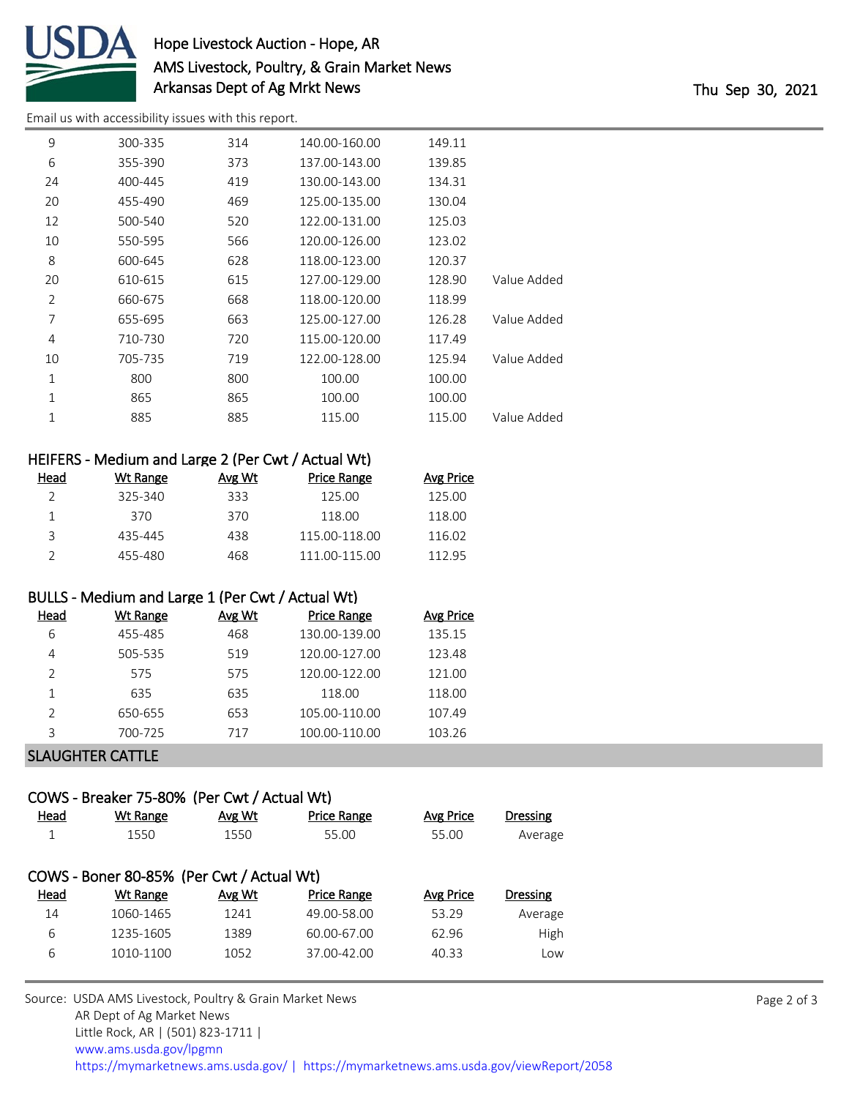

## Hope Livestock Auction - Hope, AR AMS Livestock, Poultry, & Grain Market News Arkansas Dept of Ag Mrkt News Thu Sep 30, 2021

[Email us with accessibility issues with this report.](mailto:mars@ams.usda.gov?subject=508%20issue)

| 9  | 300-335 | 314 | 140.00-160.00 | 149.11 |             |
|----|---------|-----|---------------|--------|-------------|
| 6  | 355-390 | 373 | 137.00-143.00 | 139.85 |             |
| 24 | 400-445 | 419 | 130.00-143.00 | 134.31 |             |
| 20 | 455-490 | 469 | 125.00-135.00 | 130.04 |             |
| 12 | 500-540 | 520 | 122.00-131.00 | 125.03 |             |
| 10 | 550-595 | 566 | 120.00-126.00 | 123.02 |             |
| 8  | 600-645 | 628 | 118.00-123.00 | 120.37 |             |
| 20 | 610-615 | 615 | 127.00-129.00 | 128.90 | Value Added |
| 2  | 660-675 | 668 | 118.00-120.00 | 118.99 |             |
| 7  | 655-695 | 663 | 125.00-127.00 | 126.28 | Value Added |
| 4  | 710-730 | 720 | 115.00-120.00 | 117.49 |             |
| 10 | 705-735 | 719 | 122.00-128.00 | 125.94 | Value Added |
| 1  | 800     | 800 | 100.00        | 100.00 |             |
| 1  | 865     | 865 | 100.00        | 100.00 |             |
| 1  | 885     | 885 | 115.00        | 115.00 | Value Added |
|    |         |     |               |        |             |

| HEIFERS - Medium and Large 2 (Per Cwt / Actual Wt) |          |        |               |                  |  |
|----------------------------------------------------|----------|--------|---------------|------------------|--|
| Head                                               | Wt Range | Avg Wt | Price Range   | <b>Avg Price</b> |  |
| $\mathcal{P}$                                      | 325-340  | 333    | 125.00        | 125.00           |  |
|                                                    | 370      | 370    | 118.00        | 118.00           |  |
| ⊇                                                  | 435-445  | 438    | 115.00-118.00 | 116.02           |  |

## BULLS - Medium and Large 1 (Per Cwt / Actual Wt)

| Head | Wt Range | Avg Wt | <b>Price Range</b> | <b>Avg Price</b> |
|------|----------|--------|--------------------|------------------|
| 6    | 455-485  | 468    | 130.00-139.00      | 135.15           |
| 4    | 505-535  | 519    | 120.00-127.00      | 123.48           |
| っ    | 575      | 575    | 120.00-122.00      | 121.00           |
|      | 635      | 635    | 118.00             | 118.00           |
| っ    | 650-655  | 653    | 105.00-110.00      | 107.49           |
| っ    | 700-725  | 717    | 100.00-110.00      | 103.26           |
|      |          |        |                    |                  |

455-480 468 111.00-115.00 112.95

## SLAUGHTER CATTLE

# COWS - Breaker 75-80% (Per Cwt / Actual Wt)

| Head | Wt Range                                  | Avg Wt | <b>Price Range</b> | <b>Avg Price</b> | <b>Dressing</b> |
|------|-------------------------------------------|--------|--------------------|------------------|-----------------|
|      | 1550                                      | 1550   | 55.00              | 55.00            | Average         |
|      |                                           |        |                    |                  |                 |
|      | COWS - Boner 80-85% (Per Cwt / Actual Wt) |        |                    |                  |                 |
| Head | Wt Range                                  | Avg Wt | <b>Price Range</b> | <b>Avg Price</b> | <b>Dressing</b> |
| 14   | 1060-1465                                 | 1241   | 49.00-58.00        | 53.29            | Average         |
| 6    | 1235-1605                                 | 1389   | 60.00-67.00        | 62.96            | High            |
| 6    | 1010-1100                                 | 1052   | 37.00-42.00        | 40.33            | Low             |
|      |                                           |        |                    |                  |                 |